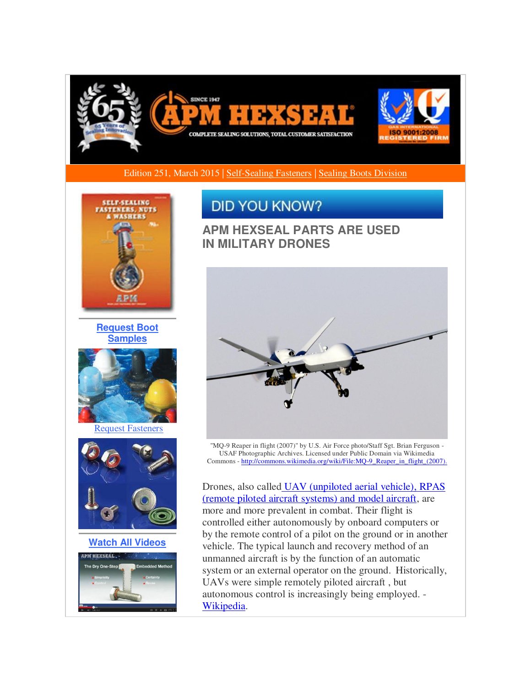

Edition 251, March 2015 | [Self-Sealing Fasteners](http://r20.rs6.net/tn.jsp?f=0014XuT3V4tA8Kjv7QGnV4TkH8sKtmCh2ek_cUmsuYdZuDrZn98pgSYAfgP0PmwptHleAGseb1lq5UPOCLLu5zIwpLbWj0FnSzujgYq7p4QnIKtJtWp7JKLriAb_WNCOKSZf5Npa0up3SwyWPH7uajBQ2DHGyLodl5d-dtv8Wdsslm3CqkM6Ef17AkCKevU2-eQQu7cvmDSTCYZjBzwtN8e9oSQInaVN0upLjG-S3R-AgQoDCrHrcbe9a3U4QfXo4kTi2SQDe7tXnNjwwoH_QNZvXJhrkYAnkHn55oi55BBFvlyF-17jEEd0w==&c=rakTsXCjWGRoa05nfjI3pV-YPclyLuuKMPoIsL-PNENaN0kTCvMtQA==&ch=_nJ65e9cTaCUr_94MjH71Do6tv8--3C9Je-7m2l24pSREthcQ9Kslw==) | [Sealing Boots Division](http://r20.rs6.net/tn.jsp?f=0014XuT3V4tA8Kjv7QGnV4TkH8sKtmCh2ek_cUmsuYdZuDrZn98pgSYAfgP0PmwptHlsXWEgE69Q49RDfuusU7kzJL0A32shso3f0-sFMg8tEL0ezTKJGG3sdxc2lwsPI90O_eeJOtNcHfWUXNoQ_cbcT-kVSP4PN-qwONUeZQD8-3IlK4zu-SWkoRvdDhqrb3LefGwULhQ8SNfjSLQkEjBCtuYaLhexMZp3bvuwkqclLUjZZh02YX1LT8b41k38mdMY-bkS6pG3m0AQuzZebEEBG0OlqXFoV1i_IZlM2ulItU=&c=rakTsXCjWGRoa05nfjI3pV-YPclyLuuKMPoIsL-PNENaN0kTCvMtQA==&ch=_nJ65e9cTaCUr_94MjH71Do6tv8--3C9Je-7m2l24pSREthcQ9Kslw==) 



**[Request Boot](http://r20.rs6.net/tn.jsp?f=0014XuT3V4tA8Kjv7QGnV4TkH8sKtmCh2ek_cUmsuYdZuDrZn98pgSYAfgP0PmwptHluVcUThRgjyaRGAA3-7NeNfsCRTFnoH_2kX9TWLyjgWkMd6fpFasOdzvRRUZmwNizcgrEEoByW5oIo40mQH29ZzXTbBzsDJUbNYg9QHh9asnCNsBC4V5gUaressHI09riKIN44fzYGmAgshMaKgaRwn4E7nbvX7slDanLtYmTCiJh86JTKoE_mkZkhKSG4FQ6fDwilJqLCAWyeSO_nHb4UJRRSMUfhR3nGzZ0XgTxn4nhwMpan4qcEjOdID-u8oZd&c=rakTsXCjWGRoa05nfjI3pV-YPclyLuuKMPoIsL-PNENaN0kTCvMtQA==&ch=_nJ65e9cTaCUr_94MjH71Do6tv8--3C9Je-7m2l24pSREthcQ9Kslw==)  [Samples](http://r20.rs6.net/tn.jsp?f=0014XuT3V4tA8Kjv7QGnV4TkH8sKtmCh2ek_cUmsuYdZuDrZn98pgSYAfgP0PmwptHluVcUThRgjyaRGAA3-7NeNfsCRTFnoH_2kX9TWLyjgWkMd6fpFasOdzvRRUZmwNizcgrEEoByW5oIo40mQH29ZzXTbBzsDJUbNYg9QHh9asnCNsBC4V5gUaressHI09riKIN44fzYGmAgshMaKgaRwn4E7nbvX7slDanLtYmTCiJh86JTKoE_mkZkhKSG4FQ6fDwilJqLCAWyeSO_nHb4UJRRSMUfhR3nGzZ0XgTxn4nhwMpan4qcEjOdID-u8oZd&c=rakTsXCjWGRoa05nfjI3pV-YPclyLuuKMPoIsL-PNENaN0kTCvMtQA==&ch=_nJ65e9cTaCUr_94MjH71Do6tv8--3C9Je-7m2l24pSREthcQ9Kslw==)**



[Request Fasteners](http://r20.rs6.net/tn.jsp?f=0014XuT3V4tA8Kjv7QGnV4TkH8sKtmCh2ek_cUmsuYdZuDrZn98pgSYAfgP0PmwptHlaRAvo6dN7XrkZxO_lMYdhmzMRgp9pq6MsBq300tfmX86KJoQVVgT5mygkhj4x7IoWXUESurwF3vf2pXVrIBrfaPITD36FYnbBW42tFBPMP7eAjjT3Dknkh6hGtmwRRRmAmOb3hZCWrAje3oOoxD6G5LCm9BtstJ0x5DkA_4VQa7D0fQjmw5fB4MQNrPhbkw1b1QGWuQ0nv_hHp8M2_j0p7tlCNRVay5LhTWmXG_JGXUJm5tISfeyfQ==&c=rakTsXCjWGRoa05nfjI3pV-YPclyLuuKMPoIsL-PNENaN0kTCvMtQA==&ch=_nJ65e9cTaCUr_94MjH71Do6tv8--3C9Je-7m2l24pSREthcQ9Kslw==)



**[Watch All Videos](http://r20.rs6.net/tn.jsp?f=0014XuT3V4tA8Kjv7QGnV4TkH8sKtmCh2ek_cUmsuYdZuDrZn98pgSYAfgP0PmwptHlf3JVGP6jxInluf3f50zsRSOwOYk4m5nvQgVHhCRwKPtPnqwtN6o2a7Ld_96BPm_7XeZZ5MweR-9uNgwmKGB3wwZj4otMFyxFAZ8hYdPdvKcBeAXSY6T3HUisS7U-r1PLFuMgjiAEWjylgCYnWFL7fzhQoxE2MXzYMZMYlotZzKp3pytQ9GnIhmnwt-tetERw2puKsDxOfCveN6pjgnHuNqH-2mjKPCgD&c=rakTsXCjWGRoa05nfjI3pV-YPclyLuuKMPoIsL-PNENaN0kTCvMtQA==&ch=_nJ65e9cTaCUr_94MjH71Do6tv8--3C9Je-7m2l24pSREthcQ9Kslw==)**



## **DID YOU KNOW?**

**APM HEXSEAL PARTS ARE USED IN MILITARY DRONES**



"MQ-9 Reaper in flight (2007)" by U.S. Air Force photo/Staff Sgt. Brian Ferguson - USAF Photographic Archives. Licensed under Public Domain via Wikimedia Commons [- http://commons.wikimedia.org/wiki/File:MQ-9\\_Reaper\\_in\\_flight\\_\(2007\).](http://r20.rs6.net/tn.jsp?f=0014XuT3V4tA8Kjv7QGnV4TkH8sKtmCh2ek_cUmsuYdZuDrZn98pgSYAWK3UoLwrCixXRp63SgqcDcVtwXZnIGOLHQaQeZA7ScVjG5YqcsWNK6lJdbG40L2w40aZOolZbSBeQlKOGkZvLt42rpQ17Uhvit0gZO2eRBuqWYZ-Ow79dHFZ-q3QYvwJlqvWAHlOeFjUYXpFAgD7u7iweBj7kdgDXAObYVZktAhRrmoy6TZTDuyJkVZ--CX2F_4hYyXNHNNMK5dKzxqtKYbdwRCEXb6QdY-6qscXp-_I6CtsUpuK8xliJBmrzWneHQY06ZBI2NmJUQb_LndKWBsyRe-IhyYvhF0gfRWN55X&c=rakTsXCjWGRoa05nfjI3pV-YPclyLuuKMPoIsL-PNENaN0kTCvMtQA==&ch=_nJ65e9cTaCUr_94MjH71Do6tv8--3C9Je-7m2l24pSREthcQ9Kslw==)

Drones, also calle[d UAV \(unpiloted aerial vehicle\), RPAS](http://r20.rs6.net/tn.jsp?f=0014XuT3V4tA8Kjv7QGnV4TkH8sKtmCh2ek_cUmsuYdZuDrZn98pgSYAWK3UoLwrCixwu5HrGDPzWTxSFW_UMc0fCsWjIcofl3o0-IQz5I1HaGJP0IA9eVSFryS2nSIpYBlQr4jKbbHb18Fy-YpaPyzK5gwp895mJvUaWEdpIwva3Mevqew_c3IdDVhg_1V7UC36NYCI7q5FnfE0KHO8EKZt_KtfwRQAelceVErxVCSB091y7B6eHBynOpr1LaUVSleJnZxEE3fd-I6A5dfGPyHW_m-NBfE_RstG1GAqol_RhGMItoD7V2xWAPaU8DzWfCb&c=rakTsXCjWGRoa05nfjI3pV-YPclyLuuKMPoIsL-PNENaN0kTCvMtQA==&ch=_nJ65e9cTaCUr_94MjH71Do6tv8--3C9Je-7m2l24pSREthcQ9Kslw==)  [\(remote piloted aircraft systems\) and model aircraft,](http://r20.rs6.net/tn.jsp?f=0014XuT3V4tA8Kjv7QGnV4TkH8sKtmCh2ek_cUmsuYdZuDrZn98pgSYAWK3UoLwrCixwu5HrGDPzWTxSFW_UMc0fCsWjIcofl3o0-IQz5I1HaGJP0IA9eVSFryS2nSIpYBlQr4jKbbHb18Fy-YpaPyzK5gwp895mJvUaWEdpIwva3Mevqew_c3IdDVhg_1V7UC36NYCI7q5FnfE0KHO8EKZt_KtfwRQAelceVErxVCSB091y7B6eHBynOpr1LaUVSleJnZxEE3fd-I6A5dfGPyHW_m-NBfE_RstG1GAqol_RhGMItoD7V2xWAPaU8DzWfCb&c=rakTsXCjWGRoa05nfjI3pV-YPclyLuuKMPoIsL-PNENaN0kTCvMtQA==&ch=_nJ65e9cTaCUr_94MjH71Do6tv8--3C9Je-7m2l24pSREthcQ9Kslw==) are more and more prevalent in combat. Their flight is controlled either autonomously by onboard computers or by the remote control of a pilot on the ground or in another vehicle. The typical launch and recovery method of an unmanned aircraft is by the function of an automatic system or an external operator on the ground. Historically, UAVs were simple remotely piloted aircraft , but autonomous control is increasingly being employed. - [Wikipedia.](http://r20.rs6.net/tn.jsp?f=0014XuT3V4tA8Kjv7QGnV4TkH8sKtmCh2ek_cUmsuYdZuDrZn98pgSYAWK3UoLwrCixwu5HrGDPzWTxSFW_UMc0fCsWjIcofl3o0-IQz5I1HaGJP0IA9eVSFryS2nSIpYBlQr4jKbbHb18Fy-YpaPyzK5gwp895mJvUaWEdpIwva3Mevqew_c3IdDVhg_1V7UC36NYCI7q5FnfE0KHO8EKZt_KtfwRQAelceVErxVCSB091y7B6eHBynOpr1LaUVSleJnZxEE3fd-I6A5dfGPyHW_m-NBfE_RstG1GAqol_RhGMItoD7V2xWAPaU8DzWfCb&c=rakTsXCjWGRoa05nfjI3pV-YPclyLuuKMPoIsL-PNENaN0kTCvMtQA==&ch=_nJ65e9cTaCUr_94MjH71Do6tv8--3C9Je-7m2l24pSREthcQ9Kslw==)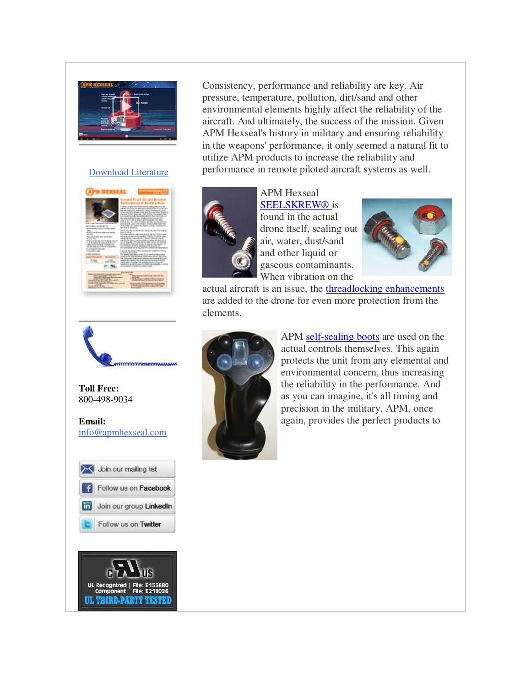

#### [Download Literature](http://r20.rs6.net/tn.jsp?f=0014XuT3V4tA8Kjv7QGnV4TkH8sKtmCh2ek_cUmsuYdZuDrZn98pgSYAfgP0PmwptHlVwWVWWJhsS9mwjo6n7LW9Ca9JpCcRBHdPO4KZJQgbYMu0n2DY6uY6H064vgEvzRZG5Ljbq2wo_L8KLs1wKFeF8iCbD0ElxMUDDG4JP31B7h1QtYvZVWGkcTZ8JvWRtzghXk6nYzcObj9RiLg620cxx8EWA4FDhDOtPYXiyR53Y0FNT10TFfeMvTaiVnT9j3XF39UO5wGJTn559RKYRJnQl8hOhtOX_iQ&c=rakTsXCjWGRoa05nfjI3pV-YPclyLuuKMPoIsL-PNENaN0kTCvMtQA==&ch=_nJ65e9cTaCUr_94MjH71Do6tv8--3C9Je-7m2l24pSREthcQ9Kslw==)





**Toll Free:**  800-498-9034

**Email:** [info@apmhexseal.com](mailto:info@apmhexseal.com)





Consistency, performance and reliability are key. Air pressure, temperature, pollution, dirt/sand and other environmental elements highly affect the reliability of the aircraft. And ultimately, the success of the mission. Given APM Hexseal's history in military and ensuring reliability in the weapons' performance, it only seemed a natural fit to utilize APM products to increase the reliability and performance in remote piloted aircraft systems as well.



APM Hexseal SEELSKREW<sup>®</sup> is found in the actual drone itself, sealing out air, water, dust/sand and other liquid or gaseous contaminants. When vibration on the



actual aircraft is an issue, the [threadlocking enhancements](http://r20.rs6.net/tn.jsp?f=0014XuT3V4tA8Kjv7QGnV4TkH8sKtmCh2ek_cUmsuYdZuDrZn98pgSYAWK3UoLwrCixdrBUQrAu5SF4VFb4ooXbxmzL_I0xZtjIx0KB4ZmHz3KjRiqbtKIeNBhJcy7FybYz1EBrqIZXOiubM8rV6ixIRNjCqzJbgKXLQrnNCQSe9My8oTjUXUNLe81HYvsKsWNxqjeMnAROQG5IgEIH5W4t8PjxJ8wlQgtbHX19fPW0Wnq8xCAbjkeSyvC7vfSAio24X3kkZx2R7p1kyHjfVOceZ8PKPFVpeBke3IrdZzMLjW4=&c=rakTsXCjWGRoa05nfjI3pV-YPclyLuuKMPoIsL-PNENaN0kTCvMtQA==&ch=_nJ65e9cTaCUr_94MjH71Do6tv8--3C9Je-7m2l24pSREthcQ9Kslw==) are added to the drone for even more protection from the elements.



APM [self-sealing boots](http://r20.rs6.net/tn.jsp?f=0014XuT3V4tA8Kjv7QGnV4TkH8sKtmCh2ek_cUmsuYdZuDrZn98pgSYAWK3UoLwrCix7xoz_KBCfSi0SrWwO0oH_ca0O7yLzvpvADyrZQoTOe8pprXA9ok7Xup5iQcoyix_qy4QO2O0lEcGvwspZm6uw3pVMalnLAtOl8KtPtuJalwCHjozzkVWcLY00aPo3fYmGkXGRqBx3Do2zaTxCV6WIumC4oBazKCl0lqg1p6hqnNBfIerdaZJE73NDjmi6dNrdzuQy90erLeKvWepRzYeTYVBSOfDOF8_JLh0yTLoy1_X_8128BZ25rUYufAYdWg-8D26AIMSHvqdsfKZ4e6DmKgDBtaZQgA3FI8becnf8CA=&c=rakTsXCjWGRoa05nfjI3pV-YPclyLuuKMPoIsL-PNENaN0kTCvMtQA==&ch=_nJ65e9cTaCUr_94MjH71Do6tv8--3C9Je-7m2l24pSREthcQ9Kslw==) are used on the actual controls themselves. This again protects the unit from any elemental and environmental concern, thus increasing the reliability in the performance. And as you can imagine, it's all timing and precision in the military. APM, once again, provides the perfect products to